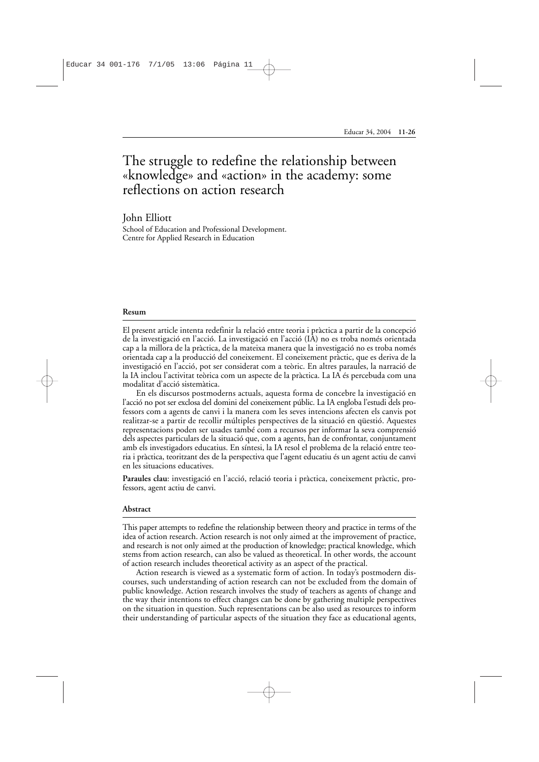# The struggle to redefine the relationship between «knowledge» and «action» in the academy: some reflections on action research

### John Elliott

School of Education and Professional Development. Centre for Applied Research in Education

#### **Resum**

El present article intenta redefinir la relació entre teoria i pràctica a partir de la concepció de la investigació en l'acció. La investigació en l'acció (IA) no es troba només orientada cap a la millora de la pràctica, de la mateixa manera que la investigació no es troba només orientada cap a la producció del coneixement. El coneixement pràctic, que es deriva de la investigació en l'acció, pot ser considerat com a teòric. En altres paraules, la narració de la IA inclou l'activitat teòrica com un aspecte de la pràctica. La IA és percebuda com una modalitat d'acció sistemàtica.

En els discursos postmoderns actuals, aquesta forma de concebre la investigació en l'acció no pot ser exclosa del domini del coneixement públic. La IA engloba l'estudi dels professors com a agents de canvi i la manera com les seves intencions afecten els canvis pot realitzar-se a partir de recollir múltiples perspectives de la situació en qüestió. Aquestes representacions poden ser usades també com a recursos per informar la seva comprensió dels aspectes particulars de la situació que, com a agents, han de confrontar, conjuntament amb els investigadors educatius. En síntesi, la IA resol el problema de la relació entre teoria i pràctica, teoritzant des de la perspectiva que l'agent educatiu és un agent actiu de canvi en les situacions educatives.

**Paraules clau**: investigació en l'acció, relació teoria i pràctica, coneixement pràctic, professors, agent actiu de canvi.

#### **Abstract**

This paper attempts to redefine the relationship between theory and practice in terms of the idea of action research. Action research is not only aimed at the improvement of practice, and research is not only aimed at the production of knowledge; practical knowledge, which stems from action research, can also be valued as theoretical. In other words, the account of action research includes theoretical activity as an aspect of the practical.

Action research is viewed as a systematic form of action. In today's postmodern discourses, such understanding of action research can not be excluded from the domain of public knowledge. Action research involves the study of teachers as agents of change and the way their intentions to effect changes can be done by gathering multiple perspectives on the situation in question. Such representations can be also used as resources to inform their understanding of particular aspects of the situation they face as educational agents,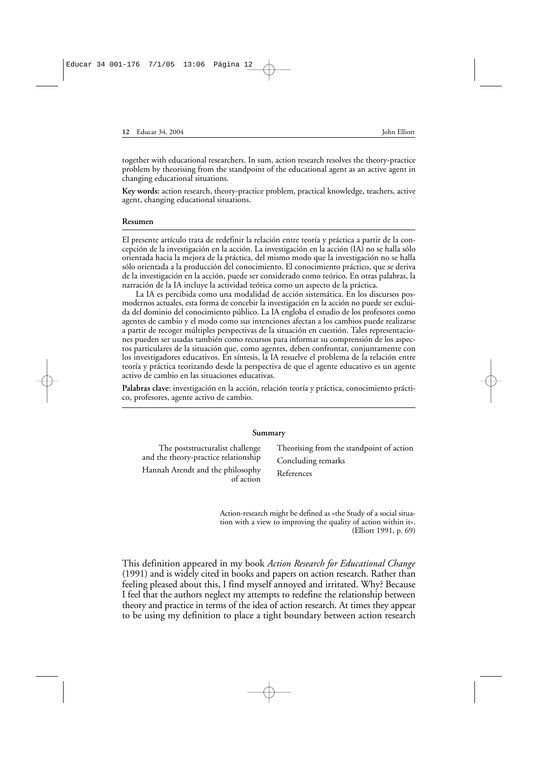together with educational researchers. In sum, action research resolves the theory-practice problem by theorising from the standpoint of the educational agent as an active agent in changing educational situations.

**Key words:** action research, theory-practice problem, practical knowledge, teachers, active agent, changing educational situations.

#### **Resumen**

El presente artículo trata de redefinir la relación entre teoría y práctica a partir de la concepción de la investigación en la acción. La investigación en la acción (IA) no se halla sólo orientada hacia la mejora de la práctica, del mismo modo que la investigación no se halla sólo orientada a la producción del conocimiento. El conocimiento práctico, que se deriva de la investigación en la acción, puede ser considerado como teórico. En otras palabras, la narración de la IA incluye la actividad teórica como un aspecto de la práctica.

La IA es percibida como una modalidad de acción sistemática. En los discursos posmodernos actuales, esta forma de concebir la investigación en la acción no puede ser excluida del dominio del conocimiento público. La IA engloba el estudio de los profesores como agentes de cambio y el modo como sus intenciones afectan a los cambios puede realizarse a partir de recoger múltiples perspectivas de la situación en cuestión. Tales representaciones pueden ser usadas también como recursos para informar su comprensión de los aspectos particulares de la situación que, como agentes, deben confrontar, conjuntamente con los investigadores educativos. En síntesis, la IA resuelve el problema de la relación entre teoría y práctica teorizando desde la perspectiva de que el agente educativo es un agente activo de cambio en las situaciones educativas.

**Palabras clave**: investigación en la acción, relación teoría y práctica, conocimiento práctico, profesores, agente activo de cambio.

#### **Summary**

The poststructuralist challenge and the theory-practice relationship Hannah Arendt and the philosophy of action

Theorising from the standpoint of action Concluding remarks References

Action-research might be defined as «the Study of a social situation with a view to improving the quality of action within it». (Elliott 1991, p. 69)

This definition appeared in my book *Action Research for Educational Change* (1991) and is widely cited in books and papers on action research. Rather than feeling pleased about this, I find myself annoyed and irritated. Why? Because I feel that the authors neglect my attempts to redefine the relationship between theory and practice in terms of the idea of action research. At times they appear to be using my definition to place a tight boundary between action research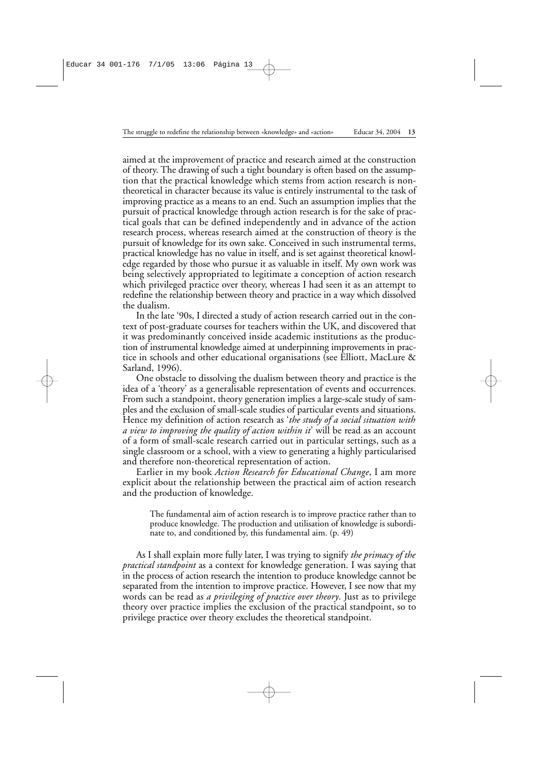aimed at the improvement of practice and research aimed at the construction of theory. The drawing of such a tight boundary is often based on the assumption that the practical knowledge which stems from action research is nontheoretical in character because its value is entirely instrumental to the task of improving practice as a means to an end. Such an assumption implies that the pursuit of practical knowledge through action research is for the sake of practical goals that can be defined independently and in advance of the action research process, whereas research aimed at the construction of theory is the pursuit of knowledge for its own sake. Conceived in such instrumental terms, practical knowledge has no value in itself, and is set against theoretical knowledge regarded by those who pursue it as valuable in itself. My own work was being selectively appropriated to legitimate a conception of action research which privileged practice over theory, whereas I had seen it as an attempt to redefine the relationship between theory and practice in a way which dissolved the dualism.

In the late '90s, I directed a study of action research carried out in the context of post-graduate courses for teachers within the UK, and discovered that it was predominantly conceived inside academic institutions as the production of instrumental knowledge aimed at underpinning improvements in practice in schools and other educational organisations (see Elliott, MacLure & Sarland, 1996).

One obstacle to dissolving the dualism between theory and practice is the idea of a 'theory' as a generalisable representation of events and occurrences. From such a standpoint, theory generation implies a large-scale study of samples and the exclusion of small-scale studies of particular events and situations. Hence my definition of action research as '*the study of a social situation with a view to improving the quality of action within it*' will be read as an account of a form of small-scale research carried out in particular settings, such as a single classroom or a school, with a view to generating a highly particularised and therefore non-theoretical representation of action.

Earlier in my book *Action Research for Educational Change*, I am more explicit about the relationship between the practical aim of action research and the production of knowledge.

The fundamental aim of action research is to improve practice rather than to produce knowledge. The production and utilisation of knowledge is subordinate to, and conditioned by, this fundamental aim. (p. 49)

As I shall explain more fully later, I was trying to signify *the primacy of the practical standpoint* as a context for knowledge generation. I was saying that in the process of action research the intention to produce knowledge cannot be separated from the intention to improve practice. However, I see now that my words can be read as *a privileging of practice over theory*. Just as to privilege theory over practice implies the exclusion of the practical standpoint, so to privilege practice over theory excludes the theoretical standpoint.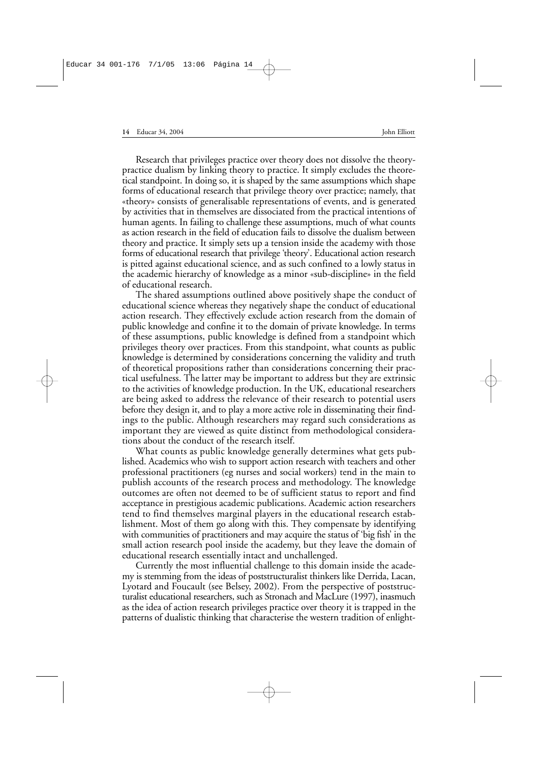Research that privileges practice over theory does not dissolve the theorypractice dualism by linking theory to practice. It simply excludes the theoretical standpoint. In doing so, it is shaped by the same assumptions which shape forms of educational research that privilege theory over practice; namely, that «theory» consists of generalisable representations of events, and is generated by activities that in themselves are dissociated from the practical intentions of human agents. In failing to challenge these assumptions, much of what counts as action research in the field of education fails to dissolve the dualism between theory and practice. It simply sets up a tension inside the academy with those forms of educational research that privilege 'theory'. Educational action research is pitted against educational science, and as such confined to a lowly status in the academic hierarchy of knowledge as a minor «sub-discipline» in the field of educational research.

The shared assumptions outlined above positively shape the conduct of educational science whereas they negatively shape the conduct of educational action research. They effectively exclude action research from the domain of public knowledge and confine it to the domain of private knowledge. In terms of these assumptions, public knowledge is defined from a standpoint which privileges theory over practices. From this standpoint, what counts as public knowledge is determined by considerations concerning the validity and truth of theoretical propositions rather than considerations concerning their practical usefulness. The latter may be important to address but they are extrinsic to the activities of knowledge production. In the UK, educational researchers are being asked to address the relevance of their research to potential users before they design it, and to play a more active role in disseminating their findings to the public. Although researchers may regard such considerations as important they are viewed as quite distinct from methodological considerations about the conduct of the research itself.

What counts as public knowledge generally determines what gets published. Academics who wish to support action research with teachers and other professional practitioners (eg nurses and social workers) tend in the main to publish accounts of the research process and methodology. The knowledge outcomes are often not deemed to be of sufficient status to report and find acceptance in prestigious academic publications. Academic action researchers tend to find themselves marginal players in the educational research establishment. Most of them go along with this. They compensate by identifying with communities of practitioners and may acquire the status of 'big fish' in the small action research pool inside the academy, but they leave the domain of educational research essentially intact and unchallenged.

Currently the most influential challenge to this domain inside the academy is stemming from the ideas of poststructuralist thinkers like Derrida, Lacan, Lyotard and Foucault (see Belsey, 2002). From the perspective of poststructuralist educational researchers, such as Stronach and MacLure (1997), inasmuch as the idea of action research privileges practice over theory it is trapped in the patterns of dualistic thinking that characterise the western tradition of enlight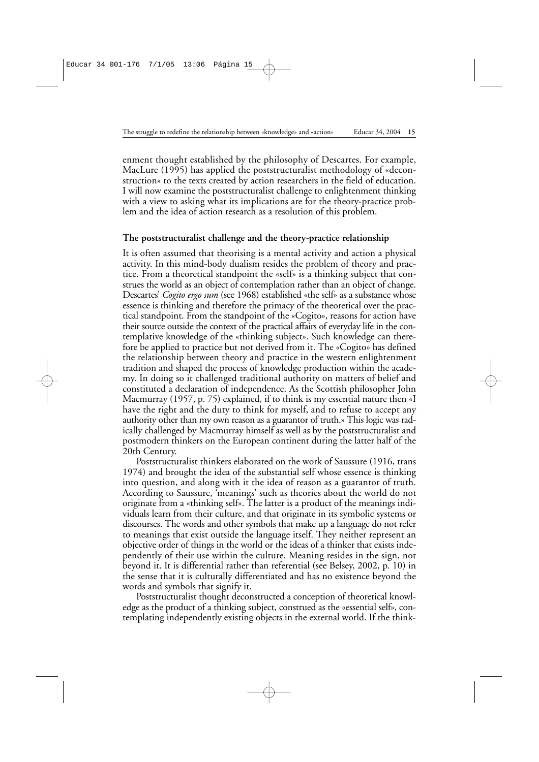enment thought established by the philosophy of Descartes. For example, MacLure (1995) has applied the poststructuralist methodology of «deconstruction» to the texts created by action researchers in the field of education. I will now examine the poststructuralist challenge to enlightenment thinking with a view to asking what its implications are for the theory-practice problem and the idea of action research as a resolution of this problem.

# **The poststructuralist challenge and the theory-practice relationship**

It is often assumed that theorising is a mental activity and action a physical activity. In this mind-body dualism resides the problem of theory and practice. From a theoretical standpoint the «self» is a thinking subject that construes the world as an object of contemplation rather than an object of change. Descartes' *Cogito ergo sum* (see 1968) established «the self» as a substance whose essence is thinking and therefore the primacy of the theoretical over the practical standpoint. From the standpoint of the «Cogito», reasons for action have their source outside the context of the practical affairs of everyday life in the contemplative knowledge of the «thinking subject». Such knowledge can therefore be applied to practice but not derived from it. The «Cogito» has defined the relationship between theory and practice in the western enlightenment tradition and shaped the process of knowledge production within the academy. In doing so it challenged traditional authority on matters of belief and constituted a declaration of independence. As the Scottish philosopher John Macmurray (1957, p. 75) explained, if to think is my essential nature then «I have the right and the duty to think for myself, and to refuse to accept any authority other than my own reason as a guarantor of truth.» This logic was radically challenged by Macmurray himself as well as by the poststructuralist and postmodern thinkers on the European continent during the latter half of the 20th Century.

Poststructuralist thinkers elaborated on the work of Saussure (1916, trans 1974) and brought the idea of the substantial self whose essence is thinking into question, and along with it the idea of reason as a guarantor of truth. According to Saussure, 'meanings' such as theories about the world do not originate from a «thinking self». The latter is a product of the meanings individuals learn from their culture, and that originate in its symbolic systems or discourses. The words and other symbols that make up a language do not refer to meanings that exist outside the language itself. They neither represent an objective order of things in the world or the ideas of a thinker that exists independently of their use within the culture. Meaning resides in the sign, not beyond it. It is differential rather than referential (see Belsey, 2002, p. 10) in the sense that it is culturally differentiated and has no existence beyond the words and symbols that signify it.

Poststructuralist thought deconstructed a conception of theoretical knowledge as the product of a thinking subject, construed as the «essential self», contemplating independently existing objects in the external world. If the think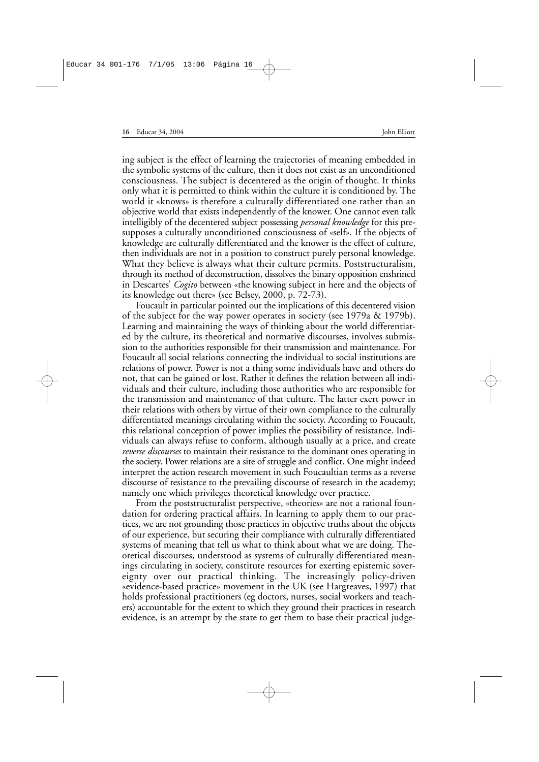ing subject is the effect of learning the trajectories of meaning embedded in the symbolic systems of the culture, then it does not exist as an unconditioned consciousness. The subject is decentered as the origin of thought. It thinks only what it is permitted to think within the culture it is conditioned by. The world it «knows» is therefore a culturally differentiated one rather than an objective world that exists independently of the knower. One cannot even talk intelligibly of the decentered subject possessing *personal knowledge* for this presupposes a culturally unconditioned consciousness of «self». If the objects of knowledge are culturally differentiated and the knower is the effect of culture, then individuals are not in a position to construct purely personal knowledge. What they believe is always what their culture permits. Poststructuralism, through its method of deconstruction, dissolves the binary opposition enshrined in Descartes' *Cogito* between «the knowing subject in here and the objects of its knowledge out there» (see Belsey, 2000, p. 72-73).

Foucault in particular pointed out the implications of this decentered vision of the subject for the way power operates in society (see 1979a & 1979b). Learning and maintaining the ways of thinking about the world differentiated by the culture, its theoretical and normative discourses, involves submission to the authorities responsible for their transmission and maintenance. For Foucault all social relations connecting the individual to social institutions are relations of power. Power is not a thing some individuals have and others do not, that can be gained or lost. Rather it defines the relation between all individuals and their culture, including those authorities who are responsible for the transmission and maintenance of that culture. The latter exert power in their relations with others by virtue of their own compliance to the culturally differentiated meanings circulating within the society. According to Foucault, this relational conception of power implies the possibility of resistance. Individuals can always refuse to conform, although usually at a price, and create *reverse discourses* to maintain their resistance to the dominant ones operating in the society. Power relations are a site of struggle and conflict. One might indeed interpret the action research movement in such Foucaultian terms as a reverse discourse of resistance to the prevailing discourse of research in the academy; namely one which privileges theoretical knowledge over practice.

From the poststructuralist perspective, «theories» are not a rational foundation for ordering practical affairs. In learning to apply them to our practices, we are not grounding those practices in objective truths about the objects of our experience, but securing their compliance with culturally differentiated systems of meaning that tell us what to think about what we are doing. Theoretical discourses, understood as systems of culturally differentiated meanings circulating in society, constitute resources for exerting epistemic sovereignty over our practical thinking. The increasingly policy-driven «evidence-based practice» movement in the UK (see Hargreaves, 1997) that holds professional practitioners (eg doctors, nurses, social workers and teachers) accountable for the extent to which they ground their practices in research evidence, is an attempt by the state to get them to base their practical judge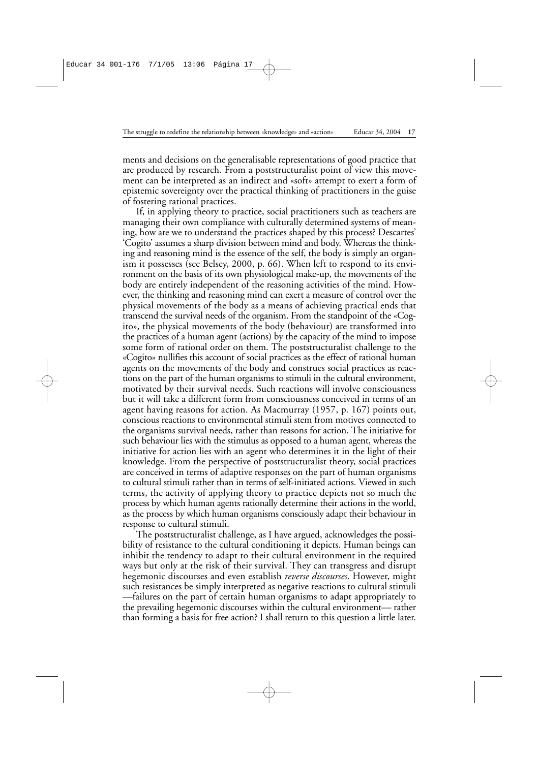of fostering rational practices. If, in applying theory to practice, social practitioners such as teachers are managing their own compliance with culturally determined systems of meaning, how are we to understand the practices shaped by this process? Descartes' 'Cogito' assumes a sharp division between mind and body. Whereas the thinking and reasoning mind is the essence of the self, the body is simply an organism it possesses (see Belsey, 2000, p. 66). When left to respond to its environment on the basis of its own physiological make-up, the movements of the body are entirely independent of the reasoning activities of the mind. However, the thinking and reasoning mind can exert a measure of control over the physical movements of the body as a means of achieving practical ends that transcend the survival needs of the organism. From the standpoint of the «Cogito», the physical movements of the body (behaviour) are transformed into the practices of a human agent (actions) by the capacity of the mind to impose some form of rational order on them. The poststructuralist challenge to the «Cogito» nullifies this account of social practices as the effect of rational human agents on the movements of the body and construes social practices as reactions on the part of the human organisms to stimuli in the cultural environment, motivated by their survival needs. Such reactions will involve consciousness but it will take a different form from consciousness conceived in terms of an agent having reasons for action. As Macmurray (1957, p. 167) points out, conscious reactions to environmental stimuli stem from motives connected to the organisms survival needs, rather than reasons for action. The initiative for such behaviour lies with the stimulus as opposed to a human agent, whereas the initiative for action lies with an agent who determines it in the light of their knowledge. From the perspective of poststructuralist theory, social practices are conceived in terms of adaptive responses on the part of human organisms to cultural stimuli rather than in terms of self-initiated actions. Viewed in such terms, the activity of applying theory to practice depicts not so much the process by which human agents rationally determine their actions in the world, as the process by which human organisms consciously adapt their behaviour in response to cultural stimuli.

The poststructuralist challenge, as I have argued, acknowledges the possibility of resistance to the cultural conditioning it depicts. Human beings can inhibit the tendency to adapt to their cultural environment in the required ways but only at the risk of their survival. They can transgress and disrupt hegemonic discourses and even establish *reverse discourses*. However, might such resistances be simply interpreted as negative reactions to cultural stimuli —failures on the part of certain human organisms to adapt appropriately to the prevailing hegemonic discourses within the cultural environment— rather than forming a basis for free action? I shall return to this question a little later.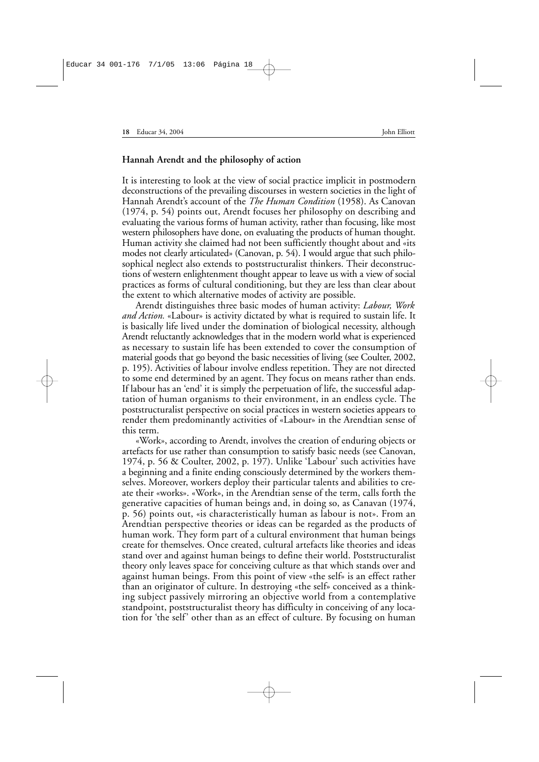### **Hannah Arendt and the philosophy of action**

It is interesting to look at the view of social practice implicit in postmodern deconstructions of the prevailing discourses in western societies in the light of Hannah Arendt's account of the *The Human Condition* (1958). As Canovan (1974, p. 54) points out, Arendt focuses her philosophy on describing and evaluating the various forms of human activity, rather than focusing, like most western philosophers have done, on evaluating the products of human thought. Human activity she claimed had not been sufficiently thought about and «its modes not clearly articulated» (Canovan, p. 54). I would argue that such philosophical neglect also extends to poststructuralist thinkers. Their deconstructions of western enlightenment thought appear to leave us with a view of social practices as forms of cultural conditioning, but they are less than clear about the extent to which alternative modes of activity are possible.

Arendt distinguishes three basic modes of human activity: *Labour, Work and Action.* «Labour» is activity dictated by what is required to sustain life. It is basically life lived under the domination of biological necessity, although Arendt reluctantly acknowledges that in the modern world what is experienced as necessary to sustain life has been extended to cover the consumption of material goods that go beyond the basic necessities of living (see Coulter, 2002, p. 195). Activities of labour involve endless repetition. They are not directed to some end determined by an agent. They focus on means rather than ends. If labour has an 'end' it is simply the perpetuation of life, the successful adaptation of human organisms to their environment, in an endless cycle. The poststructuralist perspective on social practices in western societies appears to render them predominantly activities of «Labour» in the Arendtian sense of this term.

«Work», according to Arendt, involves the creation of enduring objects or artefacts for use rather than consumption to satisfy basic needs (see Canovan, 1974, p. 56 & Coulter, 2002, p. 197). Unlike 'Labour' such activities have a beginning and a finite ending consciously determined by the workers themselves. Moreover, workers deploy their particular talents and abilities to create their «works». «Work», in the Arendtian sense of the term, calls forth the generative capacities of human beings and, in doing so, as Canavan (1974, p. 56) points out, «is characteristically human as labour is not». From an Arendtian perspective theories or ideas can be regarded as the products of human work. They form part of a cultural environment that human beings create for themselves. Once created, cultural artefacts like theories and ideas stand over and against human beings to define their world. Poststructuralist theory only leaves space for conceiving culture as that which stands over and against human beings. From this point of view «the self» is an effect rather than an originator of culture. In destroying «the self» conceived as a thinking subject passively mirroring an objective world from a contemplative standpoint, poststructuralist theory has difficulty in conceiving of any location for 'the self' other than as an effect of culture. By focusing on human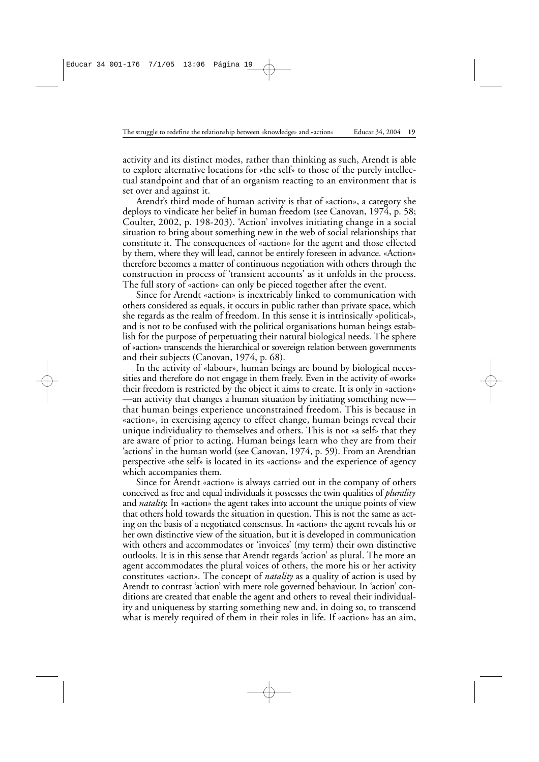activity and its distinct modes, rather than thinking as such, Arendt is able to explore alternative locations for «the self» to those of the purely intellectual standpoint and that of an organism reacting to an environment that is set over and against it.

Arendt's third mode of human activity is that of «action», a category she deploys to vindicate her belief in human freedom (see Canovan, 1974, p. 58; Coulter, 2002, p. 198-203). 'Action' involves initiating change in a social situation to bring about something new in the web of social relationships that constitute it. The consequences of «action» for the agent and those effected by them, where they will lead, cannot be entirely foreseen in advance. «Action» therefore becomes a matter of continuous negotiation with others through the construction in process of 'transient accounts' as it unfolds in the process. The full story of «action» can only be pieced together after the event.

Since for Arendt «action» is inextricably linked to communication with others considered as equals, it occurs in public rather than private space, which she regards as the realm of freedom. In this sense it is intrinsically «political», and is not to be confused with the political organisations human beings establish for the purpose of perpetuating their natural biological needs. The sphere of «action» transcends the hierarchical or sovereign relation between governments and their subjects (Canovan, 1974, p. 68).

In the activity of «labour», human beings are bound by biological necessities and therefore do not engage in them freely. Even in the activity of «work» their freedom is restricted by the object it aims to create. It is only in «action» —an activity that changes a human situation by initiating something new that human beings experience unconstrained freedom. This is because in «action», in exercising agency to effect change, human beings reveal their unique individuality to themselves and others. This is not «a self» that they are aware of prior to acting. Human beings learn who they are from their 'actions' in the human world (see Canovan, 1974, p. 59). From an Arendtian perspective «the self» is located in its «actions» and the experience of agency which accompanies them.

Since for Arendt «action» is always carried out in the company of others conceived as free and equal individuals it possesses the twin qualities of *plurality* and *natality.* In «action» the agent takes into account the unique points of view that others hold towards the situation in question. This is not the same as acting on the basis of a negotiated consensus. In «action» the agent reveals his or her own distinctive view of the situation, but it is developed in communication with others and accommodates or 'invoices' (my term) their own distinctive outlooks. It is in this sense that Arendt regards 'action' as plural. The more an agent accommodates the plural voices of others, the more his or her activity constitutes «action». The concept of *natality* as a quality of action is used by Arendt to contrast 'action' with mere role governed behaviour. In 'action' conditions are created that enable the agent and others to reveal their individuality and uniqueness by starting something new and, in doing so, to transcend what is merely required of them in their roles in life. If «action» has an aim,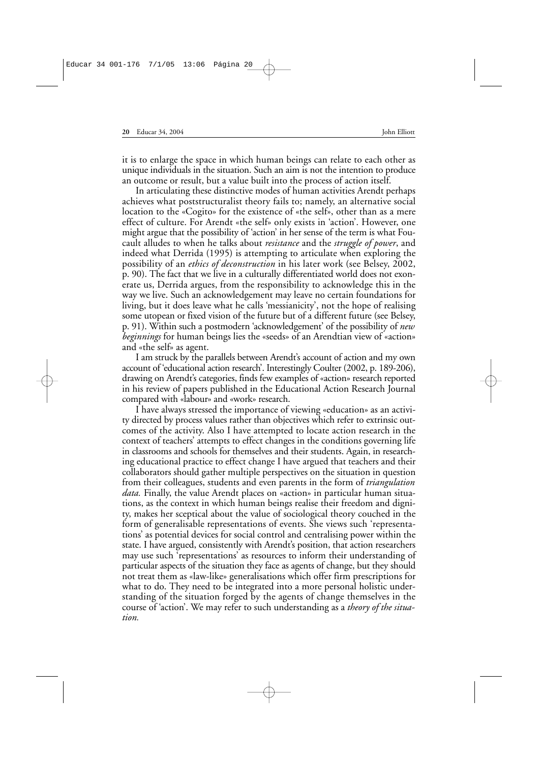it is to enlarge the space in which human beings can relate to each other as unique individuals in the situation. Such an aim is not the intention to produce an outcome or result, but a value built into the process of action itself.

In articulating these distinctive modes of human activities Arendt perhaps achieves what poststructuralist theory fails to; namely, an alternative social location to the «Cogito» for the existence of «the self», other than as a mere effect of culture. For Arendt «the self» only exists in 'action'. However, one might argue that the possibility of 'action' in her sense of the term is what Foucault alludes to when he talks about *resistance* and the *struggle of power*, and indeed what Derrida (1995) is attempting to articulate when exploring the possibility of an *ethics of deconstruction* in his later work (see Belsey, 2002, p. 90). The fact that we live in a culturally differentiated world does not exonerate us, Derrida argues, from the responsibility to acknowledge this in the way we live. Such an acknowledgement may leave no certain foundations for living, but it does leave what he calls 'messianicity', not the hope of realising some utopean or fixed vision of the future but of a different future (see Belsey, p. 91). Within such a postmodern 'acknowledgement' of the possibility of *new beginnings* for human beings lies the «seeds» of an Arendtian view of «action» and «the self» as agent.

I am struck by the parallels between Arendt's account of action and my own account of 'educational action research'. Interestingly Coulter (2002, p. 189-206), drawing on Arendt's categories, finds few examples of «action» research reported in his review of papers published in the Educational Action Research Journal compared with «labour» and «work» research.

I have always stressed the importance of viewing «education» as an activity directed by process values rather than objectives which refer to extrinsic outcomes of the activity. Also I have attempted to locate action research in the context of teachers' attempts to effect changes in the conditions governing life in classrooms and schools for themselves and their students. Again, in researching educational practice to effect change I have argued that teachers and their collaborators should gather multiple perspectives on the situation in question from their colleagues, students and even parents in the form of *triangulation data.* Finally, the value Arendt places on «action» in particular human situations, as the context in which human beings realise their freedom and dignity, makes her sceptical about the value of sociological theory couched in the form of generalisable representations of events. She views such 'representations' as potential devices for social control and centralising power within the state. I have argued, consistently with Arendt's position, that action researchers may use such 'representations' as resources to inform their understanding of particular aspects of the situation they face as agents of change, but they should not treat them as «law-like» generalisations which offer firm prescriptions for what to do. They need to be integrated into a more personal holistic understanding of the situation forged by the agents of change themselves in the course of 'action'. We may refer to such understanding as a *theory of the situation.*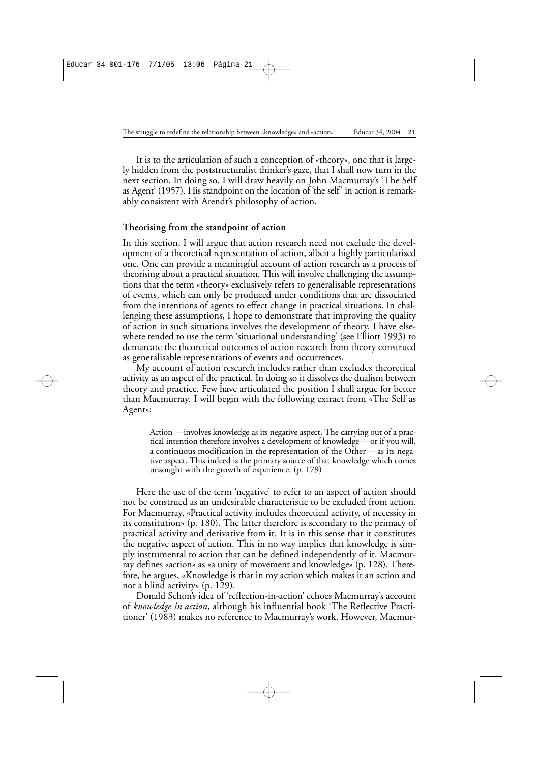It is to the articulation of such a conception of «theory», one that is largely hidden from the poststructuralist thinker's gaze, that I shall now turn in the next section. In doing so, I will draw heavily on John Macmurray's 'The Self as Agent' (1957). His standpoint on the location of 'the self' in action is remarkably consistent with Arendt's philosophy of action.

#### **Theorising from the standpoint of action**

In this section, I will argue that action research need not exclude the development of a theoretical representation of action, albeit a highly particularised one. One can provide a meaningful account of action research as a process of theorising about a practical situation. This will involve challenging the assumptions that the term «theory» exclusively refers to generalisable representations of events, which can only be produced under conditions that are dissociated from the intentions of agents to effect change in practical situations. In challenging these assumptions, I hope to demonstrate that improving the quality of action in such situations involves the development of theory. I have elsewhere tended to use the term 'situational understanding' (see Elliott 1993) to demarcate the theoretical outcomes of action research from theory construed as generalisable representations of events and occurrences.

My account of action research includes rather than excludes theoretical activity as an aspect of the practical. In doing so it dissolves the dualism between theory and practice. Few have articulated the position I shall argue for better than Macmurray. I will begin with the following extract from «The Self as Agent»:

Action —involves knowledge as its negative aspect. The carrying out of a practical intention therefore involves a development of knowledge —or if you will, a continuous modification in the representation of the Other— as its negative aspect. This indeed is the primary source of that knowledge which comes unsought with the growth of experience. (p. 179)

Here the use of the term 'negative' to refer to an aspect of action should not be construed as an undesirable characteristic to be excluded from action. For Macmurray, «Practical activity includes theoretical activity, of necessity in its constitution» (p. 180). The latter therefore is secondary to the primacy of practical activity and derivative from it. It is in this sense that it constitutes the negative aspect of action. This in no way implies that knowledge is simply instrumental to action that can be defined independently of it. Macmurray defines «action» as «a unity of movement and knowledge» (p. 128). Therefore, he argues, «Knowledge is that in my action which makes it an action and not a blind activity» (p. 129).

Donald Schon's idea of 'reflection-in-action' echoes Macmurray's account of *knowledge in action*, although his influential book 'The Reflective Practitioner' (1983) makes no reference to Macmurray's work. However, Macmur-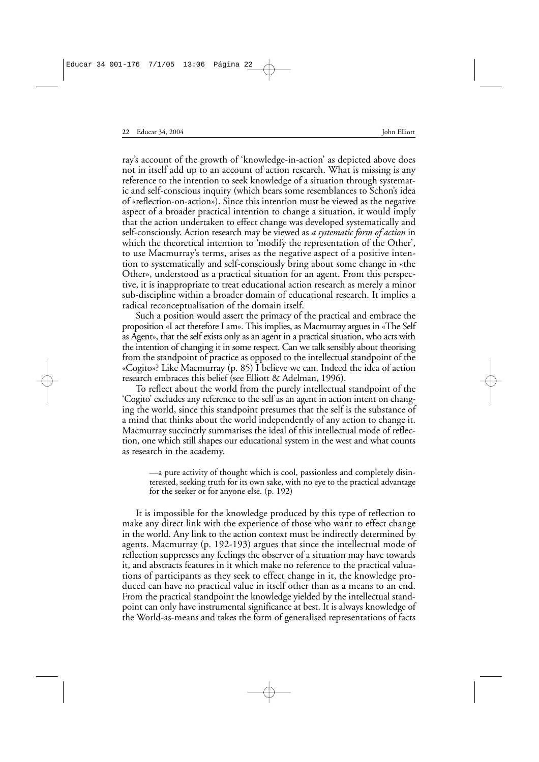ray's account of the growth of 'knowledge-in-action' as depicted above does not in itself add up to an account of action research. What is missing is any reference to the intention to seek knowledge of a situation through systematic and self-conscious inquiry (which bears some resemblances to Schon's idea of «reflection-on-action»). Since this intention must be viewed as the negative aspect of a broader practical intention to change a situation, it would imply that the action undertaken to effect change was developed systematically and self-consciously. Action research may be viewed as *a systematic form of action* in which the theoretical intention to 'modify the representation of the Other', to use Macmurray's terms, arises as the negative aspect of a positive intention to systematically and self-consciously bring about some change in «the Other», understood as a practical situation for an agent. From this perspective, it is inappropriate to treat educational action research as merely a minor sub-discipline within a broader domain of educational research. It implies a radical reconceptualisation of the domain itself.

Such a position would assert the primacy of the practical and embrace the proposition «I act therefore I am». This implies, as Macmurray argues in «The Self as Agent», that the self exists only as an agent in a practical situation, who acts with the intention of changing it in some respect. Can we talk sensibly about theorising from the standpoint of practice as opposed to the intellectual standpoint of the «Cogito»? Like Macmurray (p. 85) I believe we can. Indeed the idea of action research embraces this belief (see Elliott & Adelman, 1996).

To reflect about the world from the purely intellectual standpoint of the 'Cogito' excludes any reference to the self as an agent in action intent on changing the world, since this standpoint presumes that the self is the substance of a mind that thinks about the world independently of any action to change it. Macmurray succinctly summarises the ideal of this intellectual mode of reflection, one which still shapes our educational system in the west and what counts as research in the academy.

—a pure activity of thought which is cool, passionless and completely disinterested, seeking truth for its own sake, with no eye to the practical advantage for the seeker or for anyone else. (p. 192)

It is impossible for the knowledge produced by this type of reflection to make any direct link with the experience of those who want to effect change in the world. Any link to the action context must be indirectly determined by agents. Macmurray (p. 192-193) argues that since the intellectual mode of reflection suppresses any feelings the observer of a situation may have towards it, and abstracts features in it which make no reference to the practical valuations of participants as they seek to effect change in it, the knowledge produced can have no practical value in itself other than as a means to an end. From the practical standpoint the knowledge yielded by the intellectual standpoint can only have instrumental significance at best. It is always knowledge of the World-as-means and takes the form of generalised representations of facts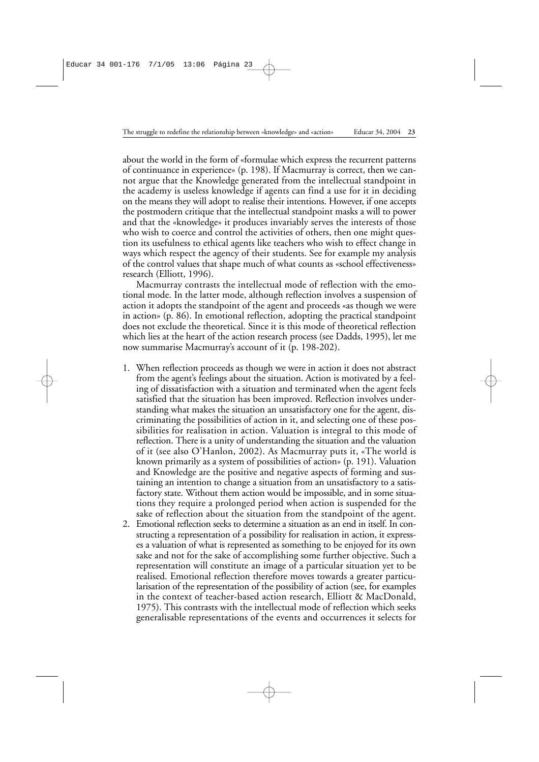about the world in the form of «formulae which express the recurrent patterns of continuance in experience» (p. 198). If Macmurray is correct, then we cannot argue that the Knowledge generated from the intellectual standpoint in the academy is useless knowledge if agents can find a use for it in deciding on the means they will adopt to realise their intentions. However, if one accepts the postmodern critique that the intellectual standpoint masks a will to power and that the «knowledge» it produces invariably serves the interests of those who wish to coerce and control the activities of others, then one might question its usefulness to ethical agents like teachers who wish to effect change in ways which respect the agency of their students. See for example my analysis of the control values that shape much of what counts as «school effectiveness» research (Elliott, 1996).

Macmurray contrasts the intellectual mode of reflection with the emotional mode. In the latter mode, although reflection involves a suspension of action it adopts the standpoint of the agent and proceeds «as though we were in action» (p. 86). In emotional reflection, adopting the practical standpoint does not exclude the theoretical. Since it is this mode of theoretical reflection which lies at the heart of the action research process (see Dadds, 1995), let me now summarise Macmurray's account of it (p. 198-202).

- 1. When reflection proceeds as though we were in action it does not abstract from the agent's feelings about the situation. Action is motivated by a feeling of dissatisfaction with a situation and terminated when the agent feels satisfied that the situation has been improved. Reflection involves understanding what makes the situation an unsatisfactory one for the agent, discriminating the possibilities of action in it, and selecting one of these possibilities for realisation in action. Valuation is integral to this mode of reflection. There is a unity of understanding the situation and the valuation of it (see also O'Hanlon, 2002). As Macmurray puts it, «The world is known primarily as a system of possibilities of action» (p. 191). Valuation and Knowledge are the positive and negative aspects of forming and sustaining an intention to change a situation from an unsatisfactory to a satisfactory state. Without them action would be impossible, and in some situations they require a prolonged period when action is suspended for the sake of reflection about the situation from the standpoint of the agent.
- 2. Emotional reflection seeks to determine a situation as an end in itself. In constructing a representation of a possibility for realisation in action, it expresses a valuation of what is represented as something to be enjoyed for its own sake and not for the sake of accomplishing some further objective. Such a representation will constitute an image of a particular situation yet to be realised. Emotional reflection therefore moves towards a greater particularisation of the representation of the possibility of action (see, for examples in the context of teacher-based action research, Elliott & MacDonald, 1975). This contrasts with the intellectual mode of reflection which seeks generalisable representations of the events and occurrences it selects for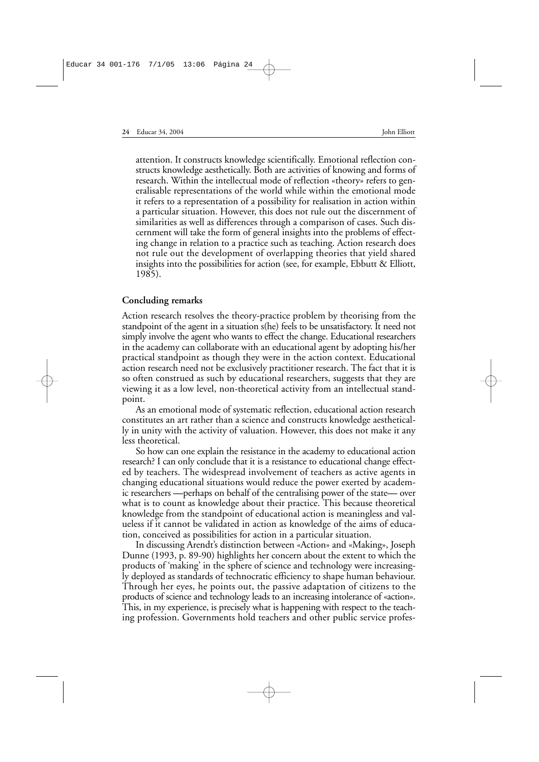attention. It constructs knowledge scientifically. Emotional reflection constructs knowledge aesthetically. Both are activities of knowing and forms of research. Within the intellectual mode of reflection «theory» refers to generalisable representations of the world while within the emotional mode it refers to a representation of a possibility for realisation in action within a particular situation. However, this does not rule out the discernment of similarities as well as differences through a comparison of cases. Such discernment will take the form of general insights into the problems of effecting change in relation to a practice such as teaching. Action research does not rule out the development of overlapping theories that yield shared insights into the possibilities for action (see, for example, Ebbutt & Elliott, 1985).

### **Concluding remarks**

Action research resolves the theory-practice problem by theorising from the standpoint of the agent in a situation s(he) feels to be unsatisfactory. It need not simply involve the agent who wants to effect the change. Educational researchers in the academy can collaborate with an educational agent by adopting his/her practical standpoint as though they were in the action context. Educational action research need not be exclusively practitioner research. The fact that it is so often construed as such by educational researchers, suggests that they are viewing it as a low level, non-theoretical activity from an intellectual standpoint.

As an emotional mode of systematic reflection, educational action research constitutes an art rather than a science and constructs knowledge aesthetically in unity with the activity of valuation. However, this does not make it any less theoretical.

So how can one explain the resistance in the academy to educational action research? I can only conclude that it is a resistance to educational change effected by teachers. The widespread involvement of teachers as active agents in changing educational situations would reduce the power exerted by academic researchers **—**perhaps on behalf of the centralising power of the state**—** over what is to count as knowledge about their practice. This because theoretical knowledge from the standpoint of educational action is meaningless and valueless if it cannot be validated in action as knowledge of the aims of education, conceived as possibilities for action in a particular situation.

In discussing Arendt's distinction between «Action» and «Making», Joseph Dunne (1993, p. 89-90) highlights her concern about the extent to which the products of 'making' in the sphere of science and technology were increasingly deployed as standards of technocratic efficiency to shape human behaviour. Through her eyes, he points out, the passive adaptation of citizens to the products of science and technology leads to an increasing intolerance of «action». This, in my experience, is precisely what is happening with respect to the teaching profession. Governments hold teachers and other public service profes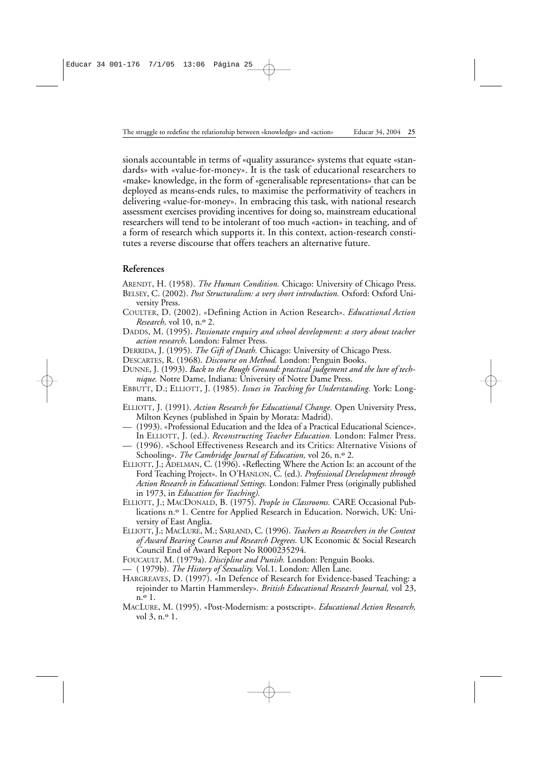sionals accountable in terms of «quality assurance» systems that equate «standards» with «value-for-money». It is the task of educational researchers to «make» knowledge, in the form of «generalisable representations» that can be deployed as means-ends rules, to maximise the performativity of teachers in delivering «value-for-money». In embracing this task, with national research assessment exercises providing incentives for doing so, mainstream educational researchers will tend to be intolerant of too much «action» in teaching, and of a form of research which supports it. In this context, action-research constitutes a reverse discourse that offers teachers an alternative future.

# **References**

- ARENDT, H. (1958). *The Human Condition.* Chicago: University of Chicago Press.
- BELSEY, C. (2002). *Post Structuralism: a very short introduction.* Oxford: Oxford University Press.
- COULTER, D. (2002). «Defining Action in Action Research». *Educational Action Research,* vol 10, n.º 2.
- DADDS, M. (1995). *Passionate enquiry and school development: a story about teacher action research*. London: Falmer Press.
- DERRIDA, J. (1995). *The Gift of Death.* Chicago: University of Chicago Press.
- DESCARTES, R. (1968). *Discourse on Method.* London: Penguin Books.
- DUNNE, J. (1993). *Back to the Rough Ground: practical judgement and the lure of technique.* Notre Dame, Indiana: University of Notre Dame Press.
- EBBUTT, D.; ELLIOTT, J. (1985). *Issues in Teaching for Understanding.* York: Longmans.
- ELLIOTT, J. (1991). *Action Research for Educational Change.* Open University Press, Milton Keynes (published in Spain by Morata: Madrid).
- (1993). «Professional Education and the Idea of a Practical Educational Science». In ELLIOTT, J. (ed.). *Reconstructing Teacher Education.* London: Falmer Press.
- (1996). «School Effectiveness Research and its Critics: Alternative Visions of Schooling». *The Cambridge Journal of Education,* vol 26, n.º 2.
- ELLIOTT, J.; ADELMAN, C. (1996). «Reflecting Where the Action Is: an account of the Ford Teaching Project». In O'HANLON, C. (ed.). *Professional Development through Action Research in Educational Settings.* London: Falmer Press (originally published in 1973, in *Education for Teaching).*
- ELLIOTT, J.; MACDONALD, B. (1975). *People in Classrooms.* CARE Occasional Publications n.º 1. Centre for Applied Research in Education. Norwich, UK: University of East Anglia.
- ELLIOTT, J.; MACLURE, M.; SARLAND, C. (1996). *Teachers as Researchers in the Context of Award Bearing Courses and Research Degrees.* UK Economic & Social Research Council End of Award Report No R000235294.
- FOUCAULT, M. (1979a). *Discipline and Punish.* London: Penguin Books.
- ( 1979b). *The History of Sexuality.* Vol.1. London: Allen Lane.
- HARGREAVES, D. (1997). «In Defence of Research for Evidence-based Teaching: a rejoinder to Martin Hammersley». *British Educational Research Journal,* vol 23, n.º 1.
- MACLURE, M. (1995). «Post-Modernism: a postscript». *Educational Action Research,* vol 3, n.º 1.